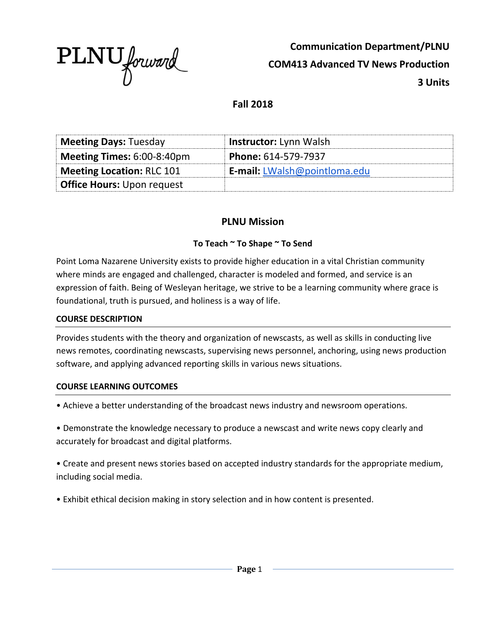

**Communication Department/PLNU COM413 Advanced TV News Production 3 Units**

## **Fall 2018**

| <b>Meeting Days: Tuesday</b>      | <b>Instructor:</b> Lynn Walsh       |
|-----------------------------------|-------------------------------------|
| Meeting Times: 6:00-8:40pm        | Phone: 614-579-7937                 |
| <b>Meeting Location: RLC 101</b>  | <b>E-mail:</b> LWalsh@pointloma.edu |
| <b>Office Hours: Upon request</b> |                                     |

### **PLNU Mission**

#### **To Teach ~ To Shape ~ To Send**

Point Loma Nazarene University exists to provide higher education in a vital Christian community where minds are engaged and challenged, character is modeled and formed, and service is an expression of faith. Being of Wesleyan heritage, we strive to be a learning community where grace is foundational, truth is pursued, and holiness is a way of life.

#### **COURSE DESCRIPTION**

Provides students with the theory and organization of newscasts, as well as skills in conducting live news remotes, coordinating newscasts, supervising news personnel, anchoring, using news production software, and applying advanced reporting skills in various news situations.

#### **COURSE LEARNING OUTCOMES**

• Achieve a better understanding of the broadcast news industry and newsroom operations.

• Demonstrate the knowledge necessary to produce a newscast and write news copy clearly and accurately for broadcast and digital platforms.

• Create and present news stories based on accepted industry standards for the appropriate medium, including social media.

• Exhibit ethical decision making in story selection and in how content is presented.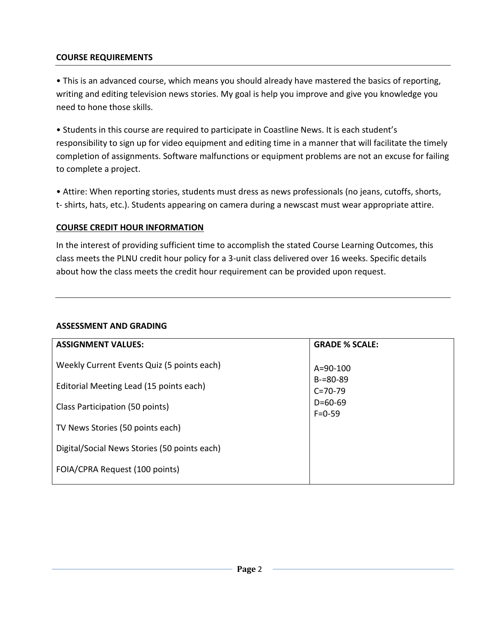#### **COURSE REQUIREMENTS**

• This is an advanced course, which means you should already have mastered the basics of reporting, writing and editing television news stories. My goal is help you improve and give you knowledge you need to hone those skills.

• Students in this course are required to participate in Coastline News. It is each student's responsibility to sign up for video equipment and editing time in a manner that will facilitate the timely completion of assignments. Software malfunctions or equipment problems are not an excuse for failing to complete a project.

• Attire: When reporting stories, students must dress as news professionals (no jeans, cutoffs, shorts, t- shirts, hats, etc.). Students appearing on camera during a newscast must wear appropriate attire.

#### **COURSE CREDIT HOUR INFORMATION**

In the interest of providing sufficient time to accomplish the stated Course Learning Outcomes, this class meets the PLNU credit hour policy for a 3-unit class delivered over 16 weeks. Specific details about how the class meets the credit hour requirement can be provided upon request.

#### **ASSESSMENT AND GRADING**

| <b>GRADE % SCALE:</b>          |
|--------------------------------|
| $A = 90 - 100$                 |
| $B = 80 - 89$<br>$C = 70 - 79$ |
| $D = 60 - 69$<br>$F = 0 - 59$  |
|                                |
|                                |
|                                |
|                                |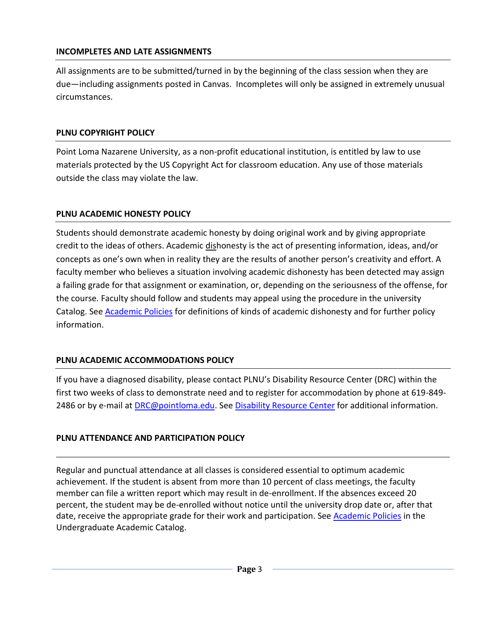#### **INCOMPLETES AND LATE ASSIGNMENTS**

All assignments are to be submitted/turned in by the beginning of the class session when they are due—including assignments posted in Canvas. Incompletes will only be assigned in extremely unusual circumstances.

#### **PLNU COPYRIGHT POLICY**

Point Loma Nazarene University, as a non-profit educational institution, is entitled by law to use materials protected by the US Copyright Act for classroom education. Any use of those materials outside the class may violate the law.

#### **PLNU ACADEMIC HONESTY POLICY**

Students should demonstrate academic honesty by doing original work and by giving appropriate credit to the ideas of others. Academic dishonesty is the act of presenting information, ideas, and/or concepts as one's own when in reality they are the results of another person's creativity and effort. A faculty member who believes a situation involving academic dishonesty has been detected may assign a failing grade for that assignment or examination, or, depending on the seriousness of the offense, for the course. Faculty should follow and students may appeal using the procedure in the university Catalog. See **Academic Policies** for definitions of kinds of academic dishonesty and for further policy information.

### **PLNU ACADEMIC ACCOMMODATIONS POLICY**

If you have a diagnosed disability, please contact PLNU's Disability Resource Center (DRC) within the first two weeks of class to demonstrate need and to register for accommodation by phone at 619-849- 2486 or by e-mail at [DRC@pointloma.edu.](mailto:DRC@pointloma.edu) See [Disability Resource Center](http://www.pointloma.edu/experience/offices/administrative-offices/academic-advising-office/disability-resource-center) for additional information.

### **PLNU ATTENDANCE AND PARTICIPATION POLICY**

Regular and punctual attendance at all classes is considered essential to optimum academic achievement. If the student is absent from more than 10 percent of class meetings, the faculty member can file a written report which may result in de-enrollment. If the absences exceed 20 percent, the student may be de-enrolled without notice until the university drop date or, after that date, receive the appropriate grade for their work and participation. See [Academic Policies](http://catalog.pointloma.edu/content.php?catoid=18&navoid=1278) in the Undergraduate Academic Catalog.